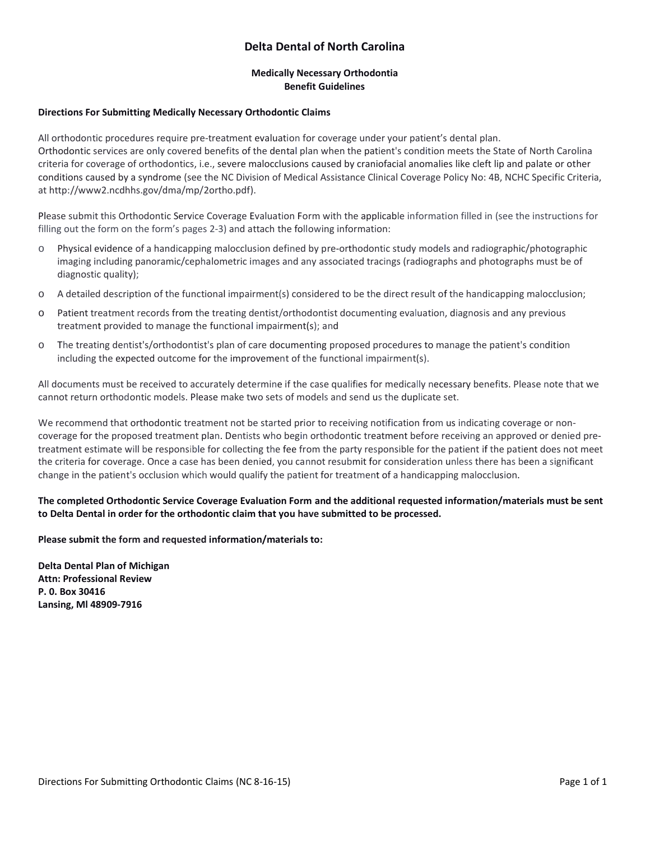# **Delta Dental of North Carolina**

## **Medically Necessary Orthodontia Benefit Guidelines**

#### **Directions For Submitting Medically Necessary Orthodontic Claims**

All orthodontic procedures require pre-treatment evaluation for coverage under your patient's dental plan. Orthodontic services are only covered benefits of the dental plan when the patient's condition meets the State of North Carolina criteria for coverage of orthodontics, i.e., severe malocclusions caused by craniofacial anomalies like cleft lip and palate or other conditions caused by a syndrome (see the NC Division of Medical Assistance Clinical Coverage Policy No: 4B, NCHC Specific Criteria, at [http://www2.ncdhhs.gov/dma/mp/2ortho.pdf\)](http://www2.ncdhhs.gov/dma/mp/2ortho.pdf).

Please submit this Orthodontic Service Coverage Evaluation Form with the applicable information filled in (see the instructions for filling out the form on the form's pages 2-3) and attach the following information:

- o Physical evidence of a handicapping malocclusion defined by pre-orthodontic study models and radiographic/photographic imaging including panoramic/cephalometric images and any associated tracings (radiographs and photographs must be of diagnostic quality);
- o A detailed description of the functional impairment(s) considered to be the direct result of the handicapping malocclusion;
- o Patient treatment records from the treating dentist/orthodontist documenting evaluation, diagnosis and any previous treatment provided to manage the functional impairment(s); and
- o The treating dentist's/orthodontist's plan of care documenting proposed procedures to manage the patient's condition including the expected outcome for the improvement of the functional impairment(s).

All documents must be received to accurately determine if the case qualifies for medically necessary benefits. Please note that we cannot return orthodontic models. Please make two sets of models and send us the duplicate set.

We recommend that orthodontic treatment not be started prior to receiving notification from us indicating coverage or noncoverage for the proposed treatment plan. Dentists who begin orthodontic treatment before receiving an approved or denied pretreatment estimate will be responsible for collecting the fee from the party responsible for the patient if the patient does not meet the criteria for coverage. Once a case has been denied, you cannot resubmit for consideration unless there has been a significant change in the patient's occlusion which would qualify the patient for treatment of a handicapping malocclusion.

 **to Delta Dental in order for the orthodontic claim that you have submitted to be processed. The completed Orthodontic Service Coverage Evaluation Form and the additional requested information/materials must be sent** 

**Please submit the form and requested information/materials to:** 

**Delta Dental Plan of Michigan Attn: Professional Review P. 0. Box 30416 Lansing, Ml 48909-7916**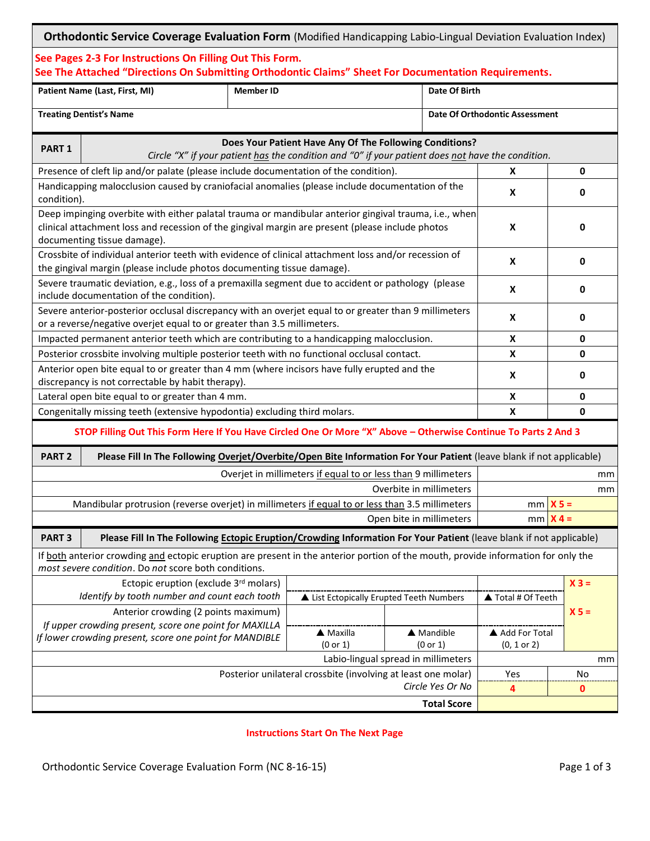|                                                                                                                                                                                                                                          | <b>Orthodontic Service Coverage Evaluation Form</b> (Modified Handicapping Labio-Lingual Deviation Evaluation Index)                                                                      |                                   |                                      |                        |                                           |           |
|------------------------------------------------------------------------------------------------------------------------------------------------------------------------------------------------------------------------------------------|-------------------------------------------------------------------------------------------------------------------------------------------------------------------------------------------|-----------------------------------|--------------------------------------|------------------------|-------------------------------------------|-----------|
|                                                                                                                                                                                                                                          | See Pages 2-3 For Instructions On Filling Out This Form.<br>See The Attached "Directions On Submitting Orthodontic Claims" Sheet For Documentation Requirements.                          |                                   |                                      |                        |                                           |           |
|                                                                                                                                                                                                                                          | Patient Name (Last, First, MI)                                                                                                                                                            | <b>Member ID</b><br>Date Of Birth |                                      |                        |                                           |           |
| <b>Treating Dentist's Name</b>                                                                                                                                                                                                           |                                                                                                                                                                                           |                                   |                                      |                        | <b>Date Of Orthodontic Assessment</b>     |           |
| Does Your Patient Have Any Of The Following Conditions?<br><b>PART 1</b><br>Circle "X" if your patient has the condition and "0" if your patient does not have the condition.                                                            |                                                                                                                                                                                           |                                   |                                      |                        |                                           |           |
| Presence of cleft lip and/or palate (please include documentation of the condition).                                                                                                                                                     |                                                                                                                                                                                           |                                   |                                      |                        | X                                         | 0         |
| Handicapping malocclusion caused by craniofacial anomalies (please include documentation of the<br>condition).                                                                                                                           |                                                                                                                                                                                           |                                   |                                      |                        | X                                         | 0         |
| Deep impinging overbite with either palatal trauma or mandibular anterior gingival trauma, i.e., when<br>clinical attachment loss and recession of the gingival margin are present (please include photos<br>documenting tissue damage). |                                                                                                                                                                                           |                                   |                                      |                        | X                                         | 0         |
| Crossbite of individual anterior teeth with evidence of clinical attachment loss and/or recession of<br>the gingival margin (please include photos documenting tissue damage).                                                           |                                                                                                                                                                                           |                                   |                                      |                        | X                                         | 0         |
| Severe traumatic deviation, e.g., loss of a premaxilla segment due to accident or pathology (please<br>include documentation of the condition).                                                                                          |                                                                                                                                                                                           |                                   |                                      |                        | X                                         | 0         |
| Severe anterior-posterior occlusal discrepancy with an overjet equal to or greater than 9 millimeters<br>or a reverse/negative overjet equal to or greater than 3.5 millimeters.                                                         |                                                                                                                                                                                           |                                   |                                      |                        | X                                         | 0         |
| Impacted permanent anterior teeth which are contributing to a handicapping malocclusion.                                                                                                                                                 |                                                                                                                                                                                           |                                   |                                      |                        | X                                         | 0         |
| Posterior crossbite involving multiple posterior teeth with no functional occlusal contact.                                                                                                                                              |                                                                                                                                                                                           |                                   |                                      |                        | X                                         | 0         |
| Anterior open bite equal to or greater than 4 mm (where incisors have fully erupted and the                                                                                                                                              |                                                                                                                                                                                           |                                   |                                      |                        | X                                         | 0         |
| discrepancy is not correctable by habit therapy).<br>Lateral open bite equal to or greater than 4 mm.                                                                                                                                    |                                                                                                                                                                                           |                                   |                                      |                        | X                                         | 0         |
| Congenitally missing teeth (extensive hypodontia) excluding third molars.                                                                                                                                                                |                                                                                                                                                                                           |                                   |                                      |                        | X                                         | 0         |
| STOP Filling Out This Form Here If You Have Circled One Or More "X" Above - Otherwise Continue To Parts 2 And 3                                                                                                                          |                                                                                                                                                                                           |                                   |                                      |                        |                                           |           |
| PART <sub>2</sub><br>Please Fill In The Following Overjet/Overbite/Open Bite Information For Your Patient (leave blank if not applicable)                                                                                                |                                                                                                                                                                                           |                                   |                                      |                        |                                           |           |
| Overjet in millimeters if equal to or less than 9 millimeters                                                                                                                                                                            |                                                                                                                                                                                           |                                   |                                      |                        |                                           | mm        |
| Overbite in millimeters                                                                                                                                                                                                                  |                                                                                                                                                                                           |                                   |                                      |                        |                                           | mm        |
| Mandibular protrusion (reverse overjet) in millimeters if equal to or less than 3.5 millimeters                                                                                                                                          |                                                                                                                                                                                           |                                   |                                      |                        |                                           | $mm X5 =$ |
| Open bite in millimeters<br>$mm \mid X 4 =$                                                                                                                                                                                              |                                                                                                                                                                                           |                                   |                                      |                        |                                           |           |
|                                                                                                                                                                                                                                          | Please Fill In The Following Ectopic Eruption/Crowding Information For Your Patient (leave blank if not applicable)<br><b>PART 3</b>                                                      |                                   |                                      |                        |                                           |           |
|                                                                                                                                                                                                                                          | If both anterior crowding and ectopic eruption are present in the anterior portion of the mouth, provide information for only the<br>most severe condition. Do not score both conditions. |                                   |                                      |                        |                                           |           |
| Ectopic eruption (exclude 3rd molars)                                                                                                                                                                                                    |                                                                                                                                                                                           |                                   |                                      |                        | $X3 =$                                    |           |
| Identify by tooth number and count each tooth<br>List Ectopically Erupted Teeth Numbers<br>Anterior crowding (2 points maximum)                                                                                                          |                                                                                                                                                                                           |                                   |                                      |                        | ▲ Total # Of Teeth                        | $X =$     |
| If upper crowding present, score one point for MAXILLA<br>If lower crowding present, score one point for MANDIBLE                                                                                                                        |                                                                                                                                                                                           |                                   | $\blacktriangle$ Maxilla<br>(0 or 1) | ▲ Mandible<br>(0 or 1) | A Add For Total<br>$(0, 1 \text{ or } 2)$ |           |
| Labio-lingual spread in millimeters                                                                                                                                                                                                      |                                                                                                                                                                                           |                                   |                                      |                        |                                           | mm        |
| Posterior unilateral crossbite (involving at least one molar)                                                                                                                                                                            |                                                                                                                                                                                           |                                   |                                      |                        | Yes                                       | No        |
| Circle Yes Or No                                                                                                                                                                                                                         |                                                                                                                                                                                           |                                   |                                      |                        | 4                                         | 0         |
| <b>Total Score</b>                                                                                                                                                                                                                       |                                                                                                                                                                                           |                                   |                                      |                        |                                           |           |

**Instructions Start On The Next Page**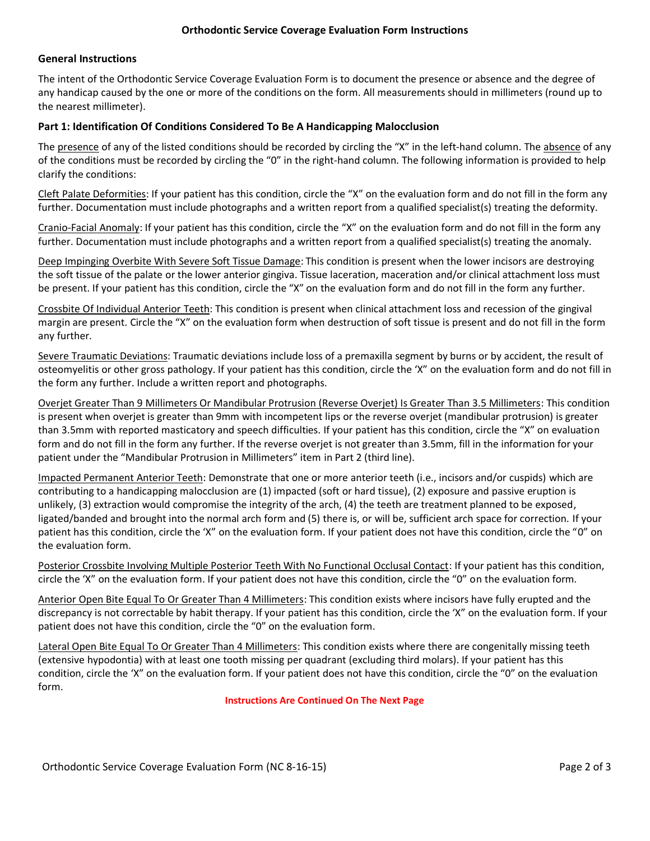## **General Instructions**

 The intent of the Orthodontic Service Coverage Evaluation Form is to document the presence or absence and the degree of any handicap caused by the one or more of the conditions on the form. All measurements should in millimeters (round up to the nearest millimeter).

#### **Part 1: Identification Of Conditions Considered To Be A Handicapping Malocclusion**

The presence of any of the listed conditions should be recorded by circling the "X" in the left-hand column. The absence of any of the conditions must be recorded by circling the "0" in the right-hand column. The following information is provided to help clarify the conditions:

Cleft Palate Deformities: If your patient has this condition, circle the "X" on the evaluation form and do not fill in the form any further. Documentation must include photographs and a written report from a qualified specialist(s) treating the deformity.

Cranio-Facial Anomaly: If your patient has this condition, circle the "X" on the evaluation form and do not fill in the form any further. Documentation must include photographs and a written report from a qualified specialist(s) treating the anomaly.

Deep Impinging Overbite With Severe Soft Tissue Damage: This condition is present when the lower incisors are destroying the soft tissue of the palate or the lower anterior gingiva. Tissue laceration, maceration and/or clinical attachment loss must be present. If your patient has this condition, circle the "X" on the evaluation form and do not fill in the form any further.

 Crossbite Of Individual Anterior Teeth: This condition is present when clinical attachment loss and recession of the gingival margin are present. Circle the "X" on the evaluation form when destruction of soft tissue is present and do not fill in the form any further.

Severe Traumatic Deviations: Traumatic deviations include loss of a premaxilla segment by burns or by accident, the result of osteomyelitis or other gross pathology. If your patient has this condition, circle the 'X" on the evaluation form and do not fill in the form any further. Include a written report and photographs.

 Overjet Greater Than 9 Millimeters Or Mandibular Protrusion (Reverse Overjet) Is Greater Than 3.5 Millimeters: This condition is present when overjet is greater than 9mm with incompetent lips or the reverse overjet (mandibular protrusion) is greater than 3.5mm with reported masticatory and speech difficulties. If your patient has this condition, circle the "X" on evaluation form and do not fill in the form any further. If the reverse overjet is not greater than 3.5mm, fill in the information for your patient under the "Mandibular Protrusion in Millimeters" item in Part 2 (third line).

 Impacted Permanent Anterior Teeth: Demonstrate that one or more anterior teeth (i.e., incisors and/or cuspids) which are contributing to a handicapping malocclusion are (1) impacted (soft or hard tissue), (2) exposure and passive eruption is unlikely, (3) extraction would compromise the integrity of the arch, (4) the teeth are treatment planned to be exposed, ligated/banded and brought into the normal arch form and (5) there is, or will be, sufficient arch space for correction. If your patient has this condition, circle the 'X" on the evaluation form. If your patient does not have this condition, circle the "0" on the evaluation form.

Posterior Crossbite Involving Multiple Posterior Teeth With No Functional Occlusal Contact: If your patient has this condition, circle the 'X" on the evaluation form. If your patient does not have this condition, circle the "0" on the evaluation form.

Anterior Open Bite Equal To Or Greater Than 4 Millimeters: This condition exists where incisors have fully erupted and the discrepancy is not correctable by habit therapy. If your patient has this condition, circle the 'X" on the evaluation form. If your patient does not have this condition, circle the "0" on the evaluation form.

Lateral Open Bite Equal To Or Greater Than 4 Millimeters: This condition exists where there are congenitally missing teeth (extensive hypodontia) with at least one tooth missing per quadrant (excluding third molars). If your patient has this condition, circle the 'X" on the evaluation form. If your patient does not have this condition, circle the "0" on the evaluation form.

#### **Instructions Are Continued On The Next Page**